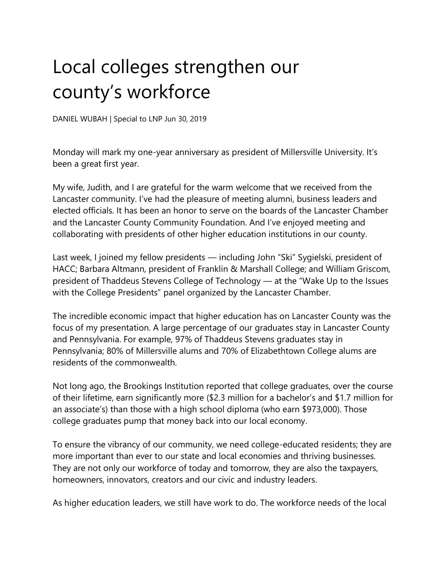## Local colleges strengthen our county's workforce

DANIEL WUBAH | Special to LNP Jun 30, 2019

Monday will mark my one-year anniversary as president of Millersville University. It's been a great first year.

My wife, Judith, and I are grateful for the warm welcome that we received from the Lancaster community. I've had the pleasure of meeting alumni, business leaders and elected officials. It has been an honor to serve on the boards of the Lancaster Chamber and the Lancaster County Community Foundation. And I've enjoyed meeting and collaborating with presidents of other higher education institutions in our county.

Last week, I joined my fellow presidents — including John "Ski" Sygielski, president of HACC; Barbara Altmann, president of Franklin & Marshall College; and William Griscom, president of Thaddeus Stevens College of Technology — at the "Wake Up to the Issues with the College Presidents" panel organized by the Lancaster Chamber.

The incredible economic impact that higher education has on Lancaster County was the focus of my presentation. A large percentage of our graduates stay in Lancaster County and Pennsylvania. For example, 97% of Thaddeus Stevens graduates stay in Pennsylvania; 80% of Millersville alums and 70% of Elizabethtown College alums are residents of the commonwealth.

Not long ago, the Brookings Institution reported that college graduates, over the course of their lifetime, earn significantly more (\$2.3 million for a bachelor's and \$1.7 million for an associate's) than those with a high school diploma (who earn \$973,000). Those college graduates pump that money back into our local economy.

To ensure the vibrancy of our community, we need college-educated residents; they are more important than ever to our state and local economies and thriving businesses. They are not only our workforce of today and tomorrow, they are also the taxpayers, homeowners, innovators, creators and our civic and industry leaders.

As higher education leaders, we still have work to do. The workforce needs of the local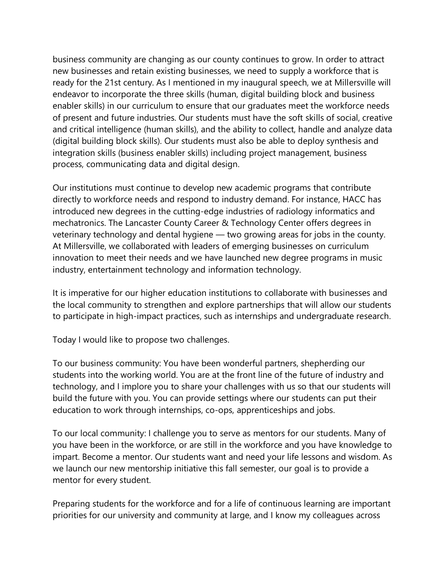business community are changing as our county continues to grow. In order to attract new businesses and retain existing businesses, we need to supply a workforce that is ready for the 21st century. As I mentioned in my inaugural speech, we at Millersville will endeavor to incorporate the three skills (human, digital building block and business enabler skills) in our curriculum to ensure that our graduates meet the workforce needs of present and future industries. Our students must have the soft skills of social, creative and critical intelligence (human skills), and the ability to collect, handle and analyze data (digital building block skills). Our students must also be able to deploy synthesis and integration skills (business enabler skills) including project management, business process, communicating data and digital design.

Our institutions must continue to develop new academic programs that contribute directly to workforce needs and respond to industry demand. For instance, HACC has introduced new degrees in the cutting-edge industries of radiology informatics and mechatronics. The Lancaster County Career & Technology Center offers degrees in veterinary technology and dental hygiene — two growing areas for jobs in the county. At Millersville, we collaborated with leaders of emerging businesses on curriculum innovation to meet their needs and we have launched new degree programs in music industry, entertainment technology and information technology.

It is imperative for our higher education institutions to collaborate with businesses and the local community to strengthen and explore partnerships that will allow our students to participate in high-impact practices, such as internships and undergraduate research.

Today I would like to propose two challenges.

To our business community: You have been wonderful partners, shepherding our students into the working world. You are at the front line of the future of industry and technology, and I implore you to share your challenges with us so that our students will build the future with you. You can provide settings where our students can put their education to work through internships, co-ops, apprenticeships and jobs.

To our local community: I challenge you to serve as mentors for our students. Many of you have been in the workforce, or are still in the workforce and you have knowledge to impart. Become a mentor. Our students want and need your life lessons and wisdom. As we launch our new mentorship initiative this fall semester, our goal is to provide a mentor for every student.

Preparing students for the workforce and for a life of continuous learning are important priorities for our university and community at large, and I know my colleagues across